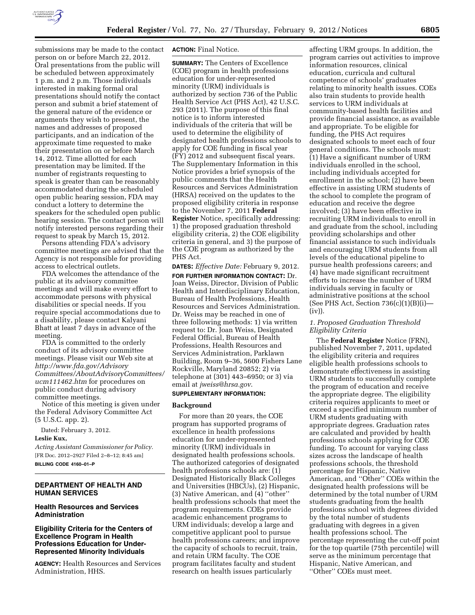

submissions may be made to the contact person on or before March 22, 2012. Oral presentations from the public will be scheduled between approximately 1 p.m. and 2 p.m. Those individuals interested in making formal oral presentations should notify the contact person and submit a brief statement of the general nature of the evidence or arguments they wish to present, the names and addresses of proposed participants, and an indication of the approximate time requested to make their presentation on or before March 14, 2012. Time allotted for each presentation may be limited. If the number of registrants requesting to speak is greater than can be reasonably accommodated during the scheduled open public hearing session, FDA may conduct a lottery to determine the speakers for the scheduled open public hearing session. The contact person will notify interested persons regarding their request to speak by March 15, 2012.

Persons attending FDA's advisory committee meetings are advised that the Agency is not responsible for providing access to electrical outlets.

FDA welcomes the attendance of the public at its advisory committee meetings and will make every effort to accommodate persons with physical disabilities or special needs. If you require special accommodations due to a disability, please contact Kalyani Bhatt at least 7 days in advance of the meeting.

FDA is committed to the orderly conduct of its advisory committee meetings. Please visit our Web site at *[http://www.fda.gov/Advisory](http://www.fda.gov/AdvisoryCommittees/AboutAdvisoryCommittees/ucm111462.htm) [Committees/AboutAdvisoryCommittees/](http://www.fda.gov/AdvisoryCommittees/AboutAdvisoryCommittees/ucm111462.htm) [ucm111462.htm](http://www.fda.gov/AdvisoryCommittees/AboutAdvisoryCommittees/ucm111462.htm)* for procedures on public conduct during advisory committee meetings.

Notice of this meeting is given under the Federal Advisory Committee Act (5 U.S.C. app. 2).

Dated: February 3, 2012.

## **Leslie Kux,**

*Acting Assistant Commissioner for Policy.*  [FR Doc. 2012–2927 Filed 2–8–12; 8:45 am] **BILLING CODE 4160–01–P** 

## **DEPARTMENT OF HEALTH AND HUMAN SERVICES**

# **Health Resources and Services Administration**

# **Eligibility Criteria for the Centers of Excellence Program in Health Professions Education for Under-Represented Minority Individuals**

**AGENCY:** Health Resources and Services Administration, HHS.

## **ACTION:** Final Notice.

**SUMMARY:** The Centers of Excellence (COE) program in health professions education for under-represented minority (URM) individuals is authorized by section 736 of the Public Health Service Act (PHS Act), 42 U.S.C. 293 (2011). The purpose of this final notice is to inform interested individuals of the criteria that will be used to determine the eligibility of designated health professions schools to apply for COE funding in fiscal year (FY) 2012 and subsequent fiscal years. The Supplementary Information in this Notice provides a brief synopsis of the public comments that the Health Resources and Services Administration (HRSA) received on the updates to the proposed eligibility criteria in response to the November 7, 2011 **Federal Register** Notice, specifically addressing: 1) the proposed graduation threshold eligibility criteria, 2) the COE eligibility criteria in general, and 3) the purpose of the COE program as authorized by the PHS Act.

**DATES:** *Effective Date:* February 9, 2012. **FOR FURTHER INFORMATION CONTACT:** Dr. Joan Weiss, Director, Division of Public Health and Interdisciplinary Education, Bureau of Health Professions, Health Resources and Services Administration. Dr. Weiss may be reached in one of three following methods: 1) via written request to: Dr. Joan Weiss, Designated Federal Official, Bureau of Health Professions, Health Resources and Services Administration, Parklawn Building, Room 9–36, 5600 Fishers Lane Rockville, Maryland 20852; 2) via telephone at (301) 443–6950; or 3) via email at *[jweiss@hrsa.gov](mailto:jweiss@hrsa.gov)*.

## **SUPPLEMENTARY INFORMATION:**

### **Background**

For more than 20 years, the COE program has supported programs of excellence in health professions education for under-represented minority (URM) individuals in designated health professions schools. The authorized categories of designated health professions schools are: (1) Designated Historically Black Colleges and Universities (HBCUs), (2) Hispanic, (3) Native American, and (4) ''other'' health professions schools that meet the program requirements. COEs provide academic enhancement programs to URM individuals; develop a large and competitive applicant pool to pursue health professions careers; and improve the capacity of schools to recruit, train, and retain URM faculty. The COE program facilitates faculty and student research on health issues particularly

affecting URM groups. In addition, the program carries out activities to improve information resources, clinical education, curricula and cultural competence of schools' graduates relating to minority health issues. COEs also train students to provide health services to URM individuals at community-based health facilities and provide financial assistance, as available and appropriate. To be eligible for funding, the PHS Act requires designated schools to meet each of four general conditions. The schools must: (1) Have a significant number of URM individuals enrolled in the school, including individuals accepted for enrollment in the school; (2) have been effective in assisting URM students of the school to complete the program of education and receive the degree involved; (3) have been effective in recruiting URM individuals to enroll in and graduate from the school, including providing scholarships and other financial assistance to such individuals and encouraging URM students from all levels of the educational pipeline to pursue health professions careers; and (4) have made significant recruitment efforts to increase the number of URM individuals serving in faculty or administrative positions at the school (See PHS Act, Section 736(c)(1)(B)(i)— (iv)).

### *1. Proposed Graduation Threshold Eligibility Criteria*

The **Federal Register** Notice (FRN), published November 7, 2011, updated the eligibility criteria and requires eligible health professions schools to demonstrate effectiveness in assisting URM students to successfully complete the program of education and receive the appropriate degree. The eligibility criteria requires applicants to meet or exceed a specified minimum number of URM students graduating with appropriate degrees. Graduation rates are calculated and provided by health professions schools applying for COE funding. To account for varying class sizes across the landscape of health professions schools, the threshold percentage for Hispanic, Native American, and ''Other'' COEs within the designated health professions will be determined by the total number of URM students graduating from the health professions school with degrees divided by the total number of students graduating with degrees in a given health professions school. The percentage representing the cut-off point for the top quartile (75th percentile) will serve as the minimum percentage that Hispanic, Native American, and ''Other'' COEs must meet.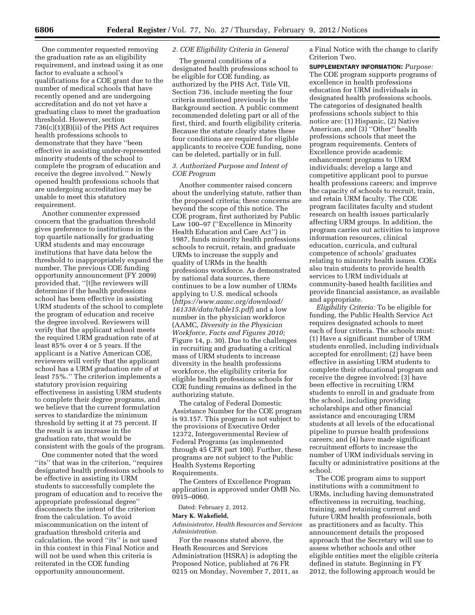One commenter requested removing the graduation rate as an eligibility requirement, and instead using it as one factor to evaluate a school's qualifications for a COE grant due to the number of medical schools that have recently opened and are undergoing accreditation and do not yet have a graduating class to meet the graduation threshold. However, section 736(c)(1)(B)(ii) of the PHS Act requires health professions schools to demonstrate that they have ''been effective in assisting under-represented minority students of the school to complete the program of education and receive the degree involved.'' Newly opened health professions schools that are undergoing accreditation may be unable to meet this statutory requirement.

Another commenter expressed concern that the graduation threshold gives preference to institutions in the top quartile nationally for graduating URM students and may encourage institutions that have data below the threshold to inappropriately expand the number. The previous COE funding opportunity announcement (FY 2009) provided that, ''[t]he reviewers will determine if the health professions school has been effective in assisting URM students of the school to complete the program of education and receive the degree involved. Reviewers will verify that the applicant school meets the required URM graduation rate of at least 85% over 4 or 5 years. If the applicant is a Native American COE, reviewers will verify that the applicant school has a URM graduation rate of at least 75%.'' The criterion implements a statutory provision requiring effectiveness in assisting URM students to complete their degree programs, and we believe that the current formulation serves to standardize the minimum threshold by setting it at 75 percent. If the result is an increase in the graduation rate, that would be consistent with the goals of the program.

One commenter noted that the word "its" that was in the criterion, "requires designated health professions schools to be effective in assisting its URM students to successfully complete the program of education and to receive the appropriate professional degree'' disconnects the intent of the criterion from the calculation. To avoid miscommunication on the intent of graduation threshold criteria and calculation, the word ''its'' is not used in this context in this Final Notice and will not be used when this criteria is reiterated in the COE funding opportunity announcement.

### *2. COE Eligibility Criteria in General*

The general conditions of a designated health professions school to be eligible for COE funding, as authorized by the PHS Act, Title VII, Section 736, include meeting the four criteria mentioned previously in the Background section. A public comment recommended deleting part or all of the first, third, and fourth eligibility criteria. Because the statute clearly states these four conditions are required for eligible applicants to receive COE funding, none can be deleted, partially or in full.

# *3. Authorized Purpose and Intent of COE Program*

Another commenter raised concern about the underlying statute, rather than the proposed criteria; these concerns are beyond the scope of this notice. The COE program, first authorized by Public Law 100–97 (''Excellence in Minority Health Education and Care Act'') in 1987, funds minority health professions schools to recruit, retain, and graduate URMs to increase the supply and quality of URMs in the health professions workforce. As demonstrated by national data sources, there continues to be a low number of URMs applying to U.S. medical schools (*[https://www.aamc.org/download/](https://www.aamc.org/download/161338/data/table15.pdf) [161338/data/table15.pdf](https://www.aamc.org/download/161338/data/table15.pdf)*) and a low number in the physician workforce (AAMC, *Diversity in the Physician Workforce, Facts and Figures 2010;*  Figure 14, p. 30). Due to the challenges in recruiting and graduating a critical mass of URM students to increase diversity in the health professions workforce, the eligibility criteria for eligible health professions schools for COE funding remains as defined in the authorizing statute.

The catalog of Federal Domestic Assistance Number for the COE program is 93.157. This program is not subject to the provisions of Executive Order 12372, Intergovernmental Review of Federal Programs (as implemented through 45 CFR part 100). Further, these programs are not subject to the Public Health Systems Reporting Requirements.

The Centers of Excellence Program application is approved under OMB No. 0915–0060.

Dated: February 2, 2012.

#### **Mary K. Wakefield,**

*Administrator, Health Resources and Services Administration.* 

For the reasons stated above, the Heath Resources and Services Administration (HSRA) is adopting the Proposed Notice, published at 76 FR 0215 on Monday, November 7, 2011, as a Final Notice with the change to clarify Criterion Two.

**SUPPLEMENTARY INFORMATION:** *Purpose:*  The COE program supports programs of excellence in health professions education for URM individuals in designated health professions schools. The categories of designated health professions schools subject to this notice are: (1) Hispanic, (2) Native American, and (3) ''Other'' health professions schools that meet the program requirements. Centers of Excellence provide academic enhancement programs to URM individuals; develop a large and competitive applicant pool to pursue health professions careers; and improve the capacity of schools to recruit, train, and retain URM faculty. The COE program facilitates faculty and student research on health issues particularly affecting URM groups. In addition, the program carries out activities to improve information resources, clinical education, curricula, and cultural competence of schools' graduates relating to minority health issues. COEs also train students to provide health services to URM individuals at community-based health facilities and provide financial assistance, as available and appropriate.

*Eligibility Criteria:* To be eligible for funding, the Public Health Service Act requires designated schools to meet each of four criteria. The schools must: (1) Have a significant number of URM students enrolled, including individuals accepted for enrollment; (2) have been effective in assisting URM students to complete their educational program and receive the degree involved; (3) have been effective in recruiting URM students to enroll in and graduate from the school, including providing scholarships and other financial assistance and encouraging URM students at all levels of the educational pipeline to pursue health professions careers; and (4) have made significant recruitment efforts to increase the number of URM individuals serving in faculty or administrative positions at the school.

The COE program aims to support institutions with a commitment to URMs, including having demonstrated effectiveness in recruiting, teaching, training, and retaining current and future URM health professionals, both as practitioners and as faculty. This announcement details the proposed approach that the Secretary will use to assess whether schools and other eligible entities meet the eligible criteria defined in statute. Beginning in FY 2012, the following approach would be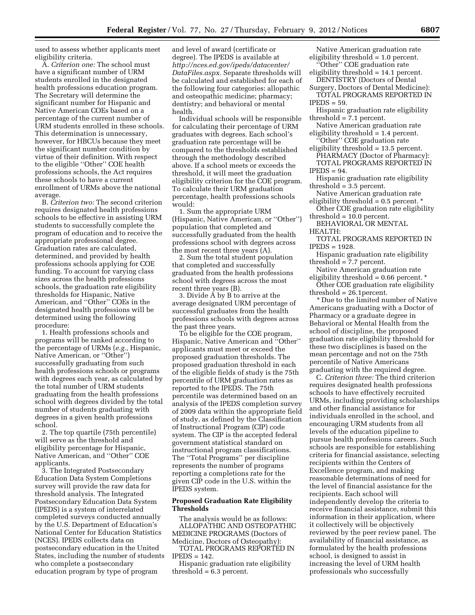used to assess whether applicants meet eligibility criteria.

A. *Criterion one:* The school must have a significant number of URM students enrolled in the designated health professions education program. The Secretary will determine the significant number for Hispanic and Native American COEs based on a percentage of the current number of URM students enrolled in these schools. This determination is unnecessary, however, for HBCUs because they meet the significant number condition by virtue of their definition. With respect to the eligible ''Other'' COE health professions schools, the Act requires these schools to have a current enrollment of URMs above the national average.

B. *Criterion two:* The second criterion requires designated health professions schools to be effective in assisting URM students to successfully complete the program of education and to receive the appropriate professional degree. Graduation rates are calculated, determined, and provided by health professions schools applying for COE funding. To account for varying class sizes across the health professions schools, the graduation rate eligibility thresholds for Hispanic, Native American, and ''Other'' COEs in the designated health professions will be determined using the following procedure:

1. Health professions schools and programs will be ranked according to the percentage of URMs (*e.g.,* Hispanic, Native American, or ''Other'') successfully graduating from such health professions schools or programs with degrees each year, as calculated by the total number of URM students graduating from the health professions school with degrees divided by the total number of students graduating with degrees in a given health professions school.

2. The top quartile (75th percentile) will serve as the threshold and eligibility percentage for Hispanic, Native American, and ''Other'' COE applicants.

3. The Integrated Postsecondary Education Data System Completions survey will provide the raw data for threshold analysis. The Integrated Postsecondary Education Data System (IPEDS) is a system of interrelated completed surveys conducted annually by the U.S. Department of Education's National Center for Education Statistics (NCES). IPEDS collects data on postsecondary education in the United States, including the number of students who complete a postsecondary education program by type of program

and level of award (certificate or degree). The IPEDS is available at *[http://nces.ed.gov/ipeds/datacenter/](http://nces.ed.gov/ipeds/datacenter/DataFiles.aspx) [DataFiles.aspx.](http://nces.ed.gov/ipeds/datacenter/DataFiles.aspx)* Separate thresholds will be calculated and established for each of the following four categories: allopathic and osteopathic medicine; pharmacy; dentistry; and behavioral or mental health.

Individual schools will be responsible for calculating their percentage of URM graduates with degrees. Each school's graduation rate percentage will be compared to the thresholds established through the methodology described above. If a school meets or exceeds the threshold, it will meet the graduation eligibility criterion for the COE program. To calculate their URM graduation percentage, health professions schools would:

1. Sum the appropriate URM (Hispanic, Native American, or ''Other'') population that completed and successfully graduated from the health professions school with degrees across the most recent three years (A).

2. Sum the total student population that completed and successfully graduated from the health professions school with degrees across the most recent three years (B).

3. Divide A by B to arrive at the average designated URM percentage of successful graduates from the health professions schools with degrees across the past three years.

To be eligible for the COE program, Hispanic, Native American and ''Other'' applicants must meet or exceed the proposed graduation thresholds. The proposed graduation threshold in each of the eligible fields of study is the 75th percentile of URM graduation rates as reported to the IPEDS. The 75th percentile was determined based on an analysis of the IPEDS completion survey of 2009 data within the appropriate field of study, as defined by the Classification of Instructional Program (CIP) code system. The CIP is the accepted federal government statistical standard on instructional program classifications. The ''Total Programs'' per discipline represents the number of programs reporting a completions rate for the given CIP code in the U.S. within the IPEDS system.

#### **Proposed Graduation Rate Eligibility Thresholds**

The analysis would be as follows: ALLOPATHIC AND OSTEOPATHIC MEDICINE PROGRAMS (Doctors of Medicine, Doctors of Osteopathy):

TOTAL PROGRAMS REPORTED IN IPEDS = 142.

Hispanic graduation rate eligibility threshold = 6.3 percent.

- Native American graduation rate eligibility threshold = 1.0 percent. Other" COE graduation rate
- eligibility threshold = 14.1 percent. DENTISTRY (Doctors of Dental
- Surgery, Doctors of Dental Medicine): TOTAL PROGRAMS REPORTED IN

 $IPEDS = 59.$ 

- Hispanic graduation rate eligibility threshold = 7.1 percent.
- Native American graduation rate eligibility threshold = 1.4 percent.
- ''Other'' COE graduation rate eligibility threshold = 13.5 percent.
- PHARMACY (Doctor of Pharmacy): TOTAL PROGRAMS REPORTED IN  $IPEDS = 94.$

Hispanic graduation rate eligibility threshold = 3.5 percent.

- Native American graduation rate
- eligibility threshold  $= 0.5$  percent.  $*$ Other COE graduation rate eligibility threshold = 10.0 percent.
- BEHAVIORAL OR MENTAL

HEALTH:

- TOTAL PROGRAMS REPORTED IN IPEDS = 1928.
- Hispanic graduation rate eligibility threshold = 7.7 percent.
- Native American graduation rate eligibility threshold  $= 0.66$  percent.  $*$
- Other COE graduation rate eligibility threshold = 26.1percent.

\* Due to the limited number of Native Americans graduating with a Doctor of Pharmacy or a graduate degree in Behavioral or Mental Health from the school of discipline, the proposed graduation rate eligibility threshold for these two disciplines is based on the mean percentage and not on the 75th percentile of Native Americans graduating with the required degree.

C*. Criterion three:* The third criterion requires designated health professions schools to have effectively recruited URMs, including providing scholarships and other financial assistance for individuals enrolled in the school, and encouraging URM students from all levels of the education pipeline to pursue health professions careers. Such schools are responsible for establishing criteria for financial assistance, selecting recipients within the Centers of Excellence program, and making reasonable determinations of need for the level of financial assistance for the recipients. Each school will independently develop the criteria to receive financial assistance, submit this information in their application, where it collectively will be objectively reviewed by the peer review panel. The availability of financial assistance, as formulated by the health professions school, is designed to assist in increasing the level of URM health professionals who successfully